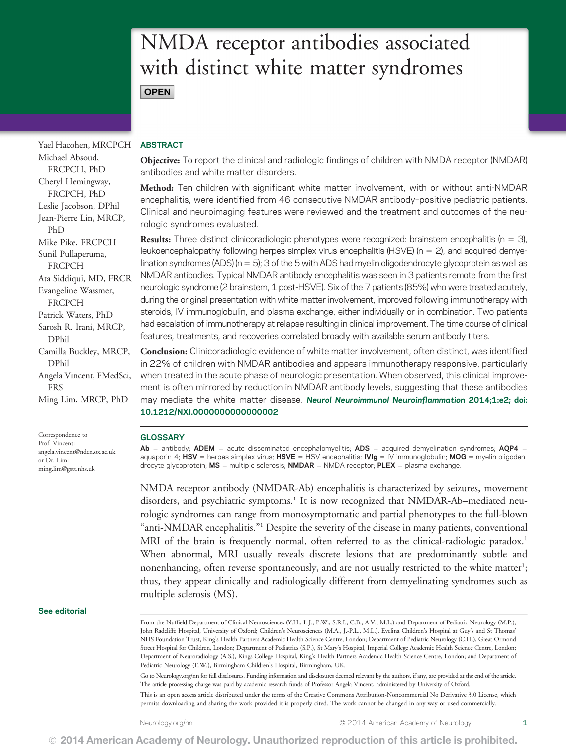# NMDA receptor antibodies associated with distinct white matter syndromes **OPEN**

Yael Hacohen, MRCPCH ABSTRACT Michael Absoud, FRCPCH, PhD Cheryl Hemingway, FRCPCH, PhD Leslie Jacobson, DPhil Jean-Pierre Lin, MRCP, PhD Mike Pike, FRCPCH Sunil Pullaperuma, FRCPCH Ata Siddiqui, MD, FRCR Evangeline Wassmer, FRCPCH Patrick Waters, PhD Sarosh R. Irani, MRCP, DPhil Camilla Buckley, MRCP, DPhil Angela Vincent, FMedSci, FRS Ming Lim, MRCP, PhD

Correspondence to Prof. Vincent: [angela.vincent@ndcn.ox.ac.uk](mailto:angela.vincent@ndcn.ox.ac.uk) or Dr. Lim: [ming.lim@gstt.nhs.uk](mailto:ming.lim@gstt.nhs.uk)

### [See editorial](http://nn.neurology.org/lookup/doi/10.1212/NXI.0000000000000003)

Objective: To report the clinical and radiologic findings of children with NMDA receptor (NMDAR) antibodies and white matter disorders.

Method: Ten children with significant white matter involvement, with or without anti-NMDAR encephalitis, were identified from 46 consecutive NMDAR antibody–positive pediatric patients. Clinical and neuroimaging features were reviewed and the treatment and outcomes of the neurologic syndromes evaluated.

Results: Three distinct clinicoradiologic phenotypes were recognized: brainstem encephalitis ( $n = 3$ ), leukoencephalopathy following herpes simplex virus encephalitis (HSVE) ( $n = 2$ ), and acquired demyelination syndromes (ADS) ( $n = 5$ ); 3 of the 5 with ADS had myelin oligodendrocyte glycoprotein as well as NMDAR antibodies. Typical NMDAR antibody encephalitis was seen in 3 patients remote from the first neurologic syndrome (2 brainstem, 1 post-HSVE). Six of the 7 patients (85%) who were treated acutely, during the original presentation with white matter involvement, improved following immunotherapy with steroids, IV immunoglobulin, and plasma exchange, either individually or in combination. Two patients had escalation of immunotherapy at relapse resulting in clinical improvement. The time course of clinical features, treatments, and recoveries correlated broadly with available serum antibody titers.

Conclusion: Clinicoradiologic evidence of white matter involvement, often distinct, was identified in 22% of children with NMDAR antibodies and appears immunotherapy responsive, particularly when treated in the acute phase of neurologic presentation. When observed, this clinical improvement is often mirrored by reduction in NMDAR antibody levels, suggesting that these antibodies may mediate the white matter disease. Neurol Neuroimmunol Neuroinflammation 2014;1:e2; doi: 10.1212/NXI.0000000000000002

### **GLOSSARY**

Ab = antibody; ADEM = acute disseminated encephalomyelitis;  $ADS =$  acquired demyelination syndromes; AQP4 = aquaporin-4; HSV = herpes simplex virus; HSVE = HSV encephalitis; IVIg = IV immunoglobulin; MOG = myelin oligodendrocyte glycoprotein;  $MS$  = multiple sclerosis; NMDAR = NMDA receptor; PLEX = plasma exchange.

NMDA receptor antibody (NMDAR-Ab) encephalitis is characterized by seizures, movement disorders, and psychiatric symptoms.<sup>1</sup> It is now recognized that NMDAR-Ab–mediated neurologic syndromes can range from monosymptomatic and partial phenotypes to the full-blown "anti-NMDAR encephalitis."<sup>1</sup> Despite the severity of the disease in many patients, conventional MRI of the brain is frequently normal, often referred to as the clinical-radiologic paradox.<sup>1</sup> When abnormal, MRI usually reveals discrete lesions that are predominantly subtle and nonenhancing, often reverse spontaneously, and are not usually restricted to the white matter<sup>1</sup>; thus, they appear clinically and radiologically different from demyelinating syndromes such as multiple sclerosis (MS).

From the Nuffield Department of Clinical Neurosciences (Y.H., L.J., P.W., S.R.I., C.B., A.V., M.L.) and Department of Pediatric Neurology (M.P.), John Radcliffe Hospital, University of Oxford; Children's Neurosciences (M.A., J.-P.L., M.L.), Evelina Children's Hospital at Guy's and St Thomas' NHS Foundation Trust, King's Health Partners Academic Health Science Centre, London; Department of Pediatric Neurology (C.H.), Great Ormond Street Hospital for Children, London; Department of Pediatrics (S.P.), St Mary's Hospital, Imperial College Academic Health Science Centre, London; Department of Neuroradiology (A.S.), Kings College Hospital, King's Health Partners Academic Health Science Centre, London; and Department of Pediatric Neurology (E.W.), Birmingham Children's Hospital, Birmingham, UK.

Go to [Neurology.org/nn](http://neurology.org/nn) for full disclosures. Funding information and disclosures deemed relevant by the authors, if any, are provided at the end of the article. The article processing charge was paid by academic research funds of Professor Angela Vincent, administered by University of Oxford.

This is an open access article distributed under the terms of the Creative Commons Attribution-Noncommercial No Derivative 3.0 License, which permits downloading and sharing the work provided it is properly cited. The work cannot be changed in any way or used commercially.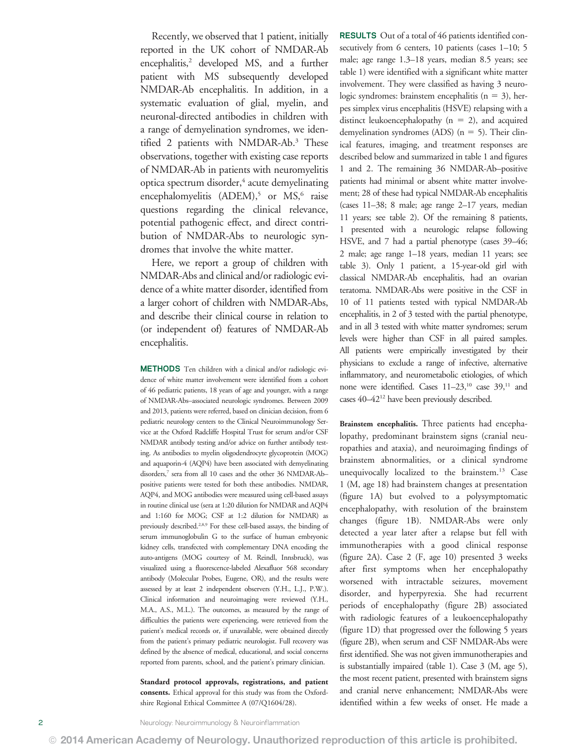Recently, we observed that 1 patient, initially reported in the UK cohort of NMDAR-Ab encephalitis,<sup>2</sup> developed MS, and a further patient with MS subsequently developed NMDAR-Ab encephalitis. In addition, in a systematic evaluation of glial, myelin, and neuronal-directed antibodies in children with a range of demyelination syndromes, we identified 2 patients with NMDAR-Ab.<sup>3</sup> These observations, together with existing case reports of NMDAR-Ab in patients with neuromyelitis optica spectrum disorder,<sup>4</sup> acute demyelinating encephalomyelitis  $(ADEM)_2^5$  or  $MS_2^6$  raise questions regarding the clinical relevance, potential pathogenic effect, and direct contribution of NMDAR-Abs to neurologic syndromes that involve the white matter.

Here, we report a group of children with NMDAR-Abs and clinical and/or radiologic evidence of a white matter disorder, identified from a larger cohort of children with NMDAR-Abs, and describe their clinical course in relation to (or independent of) features of NMDAR-Ab encephalitis.

METHODS Ten children with a clinical and/or radiologic evidence of white matter involvement were identified from a cohort of 46 pediatric patients, 18 years of age and younger, with a range of NMDAR-Abs–associated neurologic syndromes. Between 2009 and 2013, patients were referred, based on clinician decision, from 6 pediatric neurology centers to the Clinical Neuroimmunology Service at the Oxford Radcliffe Hospital Trust for serum and/or CSF NMDAR antibody testing and/or advice on further antibody testing. As antibodies to myelin oligodendrocyte glycoprotein (MOG) and aquaporin-4 (AQP4) have been associated with demyelinating disorders,<sup>7</sup> sera from all 10 cases and the other 36 NMDAR-Abpositive patients were tested for both these antibodies. NMDAR, AQP4, and MOG antibodies were measured using cell-based assays in routine clinical use (sera at 1:20 dilution for NMDAR and AQP4 and 1:160 for MOG; CSF at 1:2 dilution for NMDAR) as previously described.2,8,9 For these cell-based assays, the binding of serum immunoglobulin G to the surface of human embryonic kidney cells, transfected with complementary DNA encoding the auto-antigens (MOG courtesy of M. Reindl, Innsbruck), was visualized using a fluorescence-labeled Alexafluor 568 secondary antibody (Molecular Probes, Eugene, OR), and the results were assessed by at least 2 independent observers (Y.H., L.J., P.W.). Clinical information and neuroimaging were reviewed (Y.H., M.A., A.S., M.L.). The outcomes, as measured by the range of difficulties the patients were experiencing, were retrieved from the patient's medical records or, if unavailable, were obtained directly from the patient's primary pediatric neurologist. Full recovery was defined by the absence of medical, educational, and social concerns reported from parents, school, and the patient's primary clinician.

Standard protocol approvals, registrations, and patient consents. Ethical approval for this study was from the Oxfordshire Regional Ethical Committee A (07/Q1604/28).

RESULTS Out of a total of 46 patients identified consecutively from 6 centers, 10 patients (cases 1–10; 5 male; age range 1.3–18 years, median 8.5 years; see table 1) were identified with a significant white matter involvement. They were classified as having 3 neurologic syndromes: brainstem encephalitis ( $n = 3$ ), herpes simplex virus encephalitis (HSVE) relapsing with a distinct leukoencephalopathy ( $n = 2$ ), and acquired demyelination syndromes (ADS) ( $n = 5$ ). Their clinical features, imaging, and treatment responses are described below and summarized in table 1 and figures 1 and 2. The remaining 36 NMDAR-Ab–positive patients had minimal or absent white matter involvement; 28 of these had typical NMDAR-Ab encephalitis (cases 11–38; 8 male; age range 2–17 years, median 11 years; see table 2). Of the remaining 8 patients, 1 presented with a neurologic relapse following HSVE, and 7 had a partial phenotype (cases 39–46; 2 male; age range 1–18 years, median 11 years; see table 3). Only 1 patient, a 15-year-old girl with classical NMDAR-Ab encephalitis, had an ovarian teratoma. NMDAR-Abs were positive in the CSF in 10 of 11 patients tested with typical NMDAR-Ab encephalitis, in 2 of 3 tested with the partial phenotype, and in all 3 tested with white matter syndromes; serum levels were higher than CSF in all paired samples. All patients were empirically investigated by their physicians to exclude a range of infective, alternative inflammatory, and neurometabolic etiologies, of which none were identified. Cases 11–23,<sup>10</sup> case 39,<sup>11</sup> and cases 40–4212 have been previously described.

Brainstem encephalitis. Three patients had encephalopathy, predominant brainstem signs (cranial neuropathies and ataxia), and neuroimaging findings of brainstem abnormalities, or a clinical syndrome unequivocally localized to the brainstem.<sup>13</sup> Case 1 (M, age 18) had brainstem changes at presentation (figure 1A) but evolved to a polysymptomatic encephalopathy, with resolution of the brainstem changes (figure 1B). NMDAR-Abs were only detected a year later after a relapse but fell with immunotherapies with a good clinical response (figure 2A). Case 2 (F, age 10) presented 3 weeks after first symptoms when her encephalopathy worsened with intractable seizures, movement disorder, and hyperpyrexia. She had recurrent periods of encephalopathy (figure 2B) associated with radiologic features of a leukoencephalopathy (figure 1D) that progressed over the following 5 years (figure 2B), when serum and CSF NMDAR-Abs were first identified. She was not given immunotherapies and is substantially impaired (table 1). Case 3 (M, age 5), the most recent patient, presented with brainstem signs and cranial nerve enhancement; NMDAR-Abs were identified within a few weeks of onset. He made a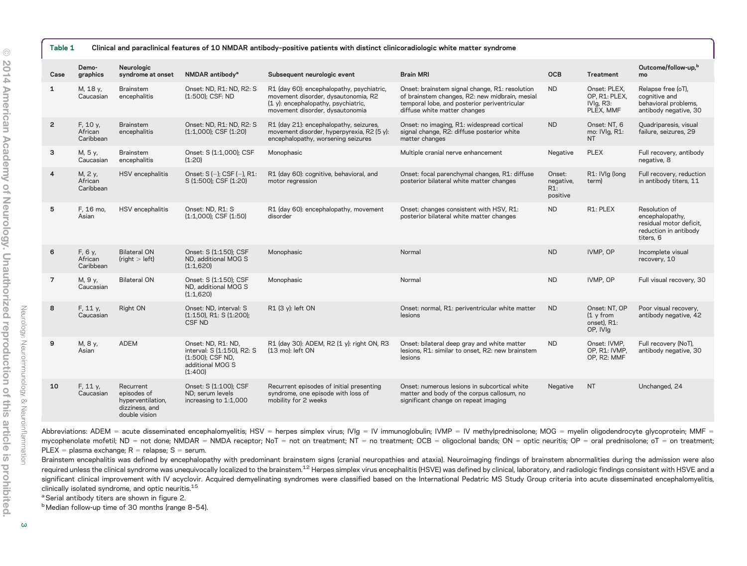| Table 1 |  |  |  |  | Clinical and paraclinical features of 10 NMDAR antibody-positive patients with distinct clinicoradiologic white matter syndrome |  |
|---------|--|--|--|--|---------------------------------------------------------------------------------------------------------------------------------|--|
|         |  |  |  |  |                                                                                                                                 |  |

| Case           | Demo-<br>graphics                | Neurologic<br>syndrome at onset                                                  | NMDAR antibody <sup>a</sup>                                                                         | Subsequent neurologic event                                                                                                                                | <b>Brain MRI</b>                                                                                                                                                                 | <b>OCB</b>                             | <b>Treatment</b>                                        | Outcome/follow-up, <sup>b</sup><br>mo                                                             |
|----------------|----------------------------------|----------------------------------------------------------------------------------|-----------------------------------------------------------------------------------------------------|------------------------------------------------------------------------------------------------------------------------------------------------------------|----------------------------------------------------------------------------------------------------------------------------------------------------------------------------------|----------------------------------------|---------------------------------------------------------|---------------------------------------------------------------------------------------------------|
| 1              | M, 18 y,<br>Caucasian            | <b>Brainstem</b><br>encephalitis                                                 | Onset: ND, R1: ND, R2: S<br>(1:500); CSF: ND                                                        | R1 (day 60): encephalopathy, psychiatric,<br>movement disorder, dysautonomia, R2<br>(1 y): encephalopathy, psychiatric,<br>movement disorder, dysautonomia | Onset: brainstem signal change, R1: resolution<br>of brainstem changes, R2: new midbrain, mesial<br>temporal lobe, and posterior periventricular<br>diffuse white matter changes | <b>ND</b>                              | Onset: PLEX,<br>OP, R1: PLEX,<br>IVIg, R3:<br>PLEX, MMF | Relapse free (oT),<br>cognitive and<br>behavioral problems.<br>antibody negative, 30              |
| $\overline{2}$ | F, 10 y,<br>African<br>Caribbean | <b>Brainstem</b><br>encephalitis                                                 | Onset: ND, R1: ND, R2: S<br>$(1:1,000)$ ; CSF $(1:20)$                                              | R1 (day 21): encephalopathy, seizures,<br>movement disorder, hyperpyrexia, R2 (5 y):<br>encephalopathy, worsening seizures                                 | Onset: no imaging, R1: widespread cortical<br>signal change, R2: diffuse posterior white<br>matter changes                                                                       | <b>ND</b>                              | Onset: NT, 6<br>mo: IVIg, R1:<br><b>NT</b>              | Quadriparesis, visual<br>failure, seizures, 29                                                    |
| 3              | M, 5 y,<br>Caucasian             | <b>Brainstem</b><br>encephalitis                                                 | Onset: S (1:1,000); CSF<br>(1:20)                                                                   | Monophasic                                                                                                                                                 | Multiple cranial nerve enhancement                                                                                                                                               | Negative                               | <b>PLEX</b>                                             | Full recovery, antibody<br>negative, 8                                                            |
| 4              | M, 2 y,<br>African<br>Caribbean  | HSV encephalitis                                                                 | Onset: S (-); CSF (-), R1:<br>S (1:500); CSF (1:20)                                                 | R1 (day 60): cognitive, behavioral, and<br>motor regression                                                                                                | Onset: focal parenchymal changes, R1: diffuse<br>posterior bilateral white matter changes                                                                                        | Onset:<br>negative,<br>R1:<br>positive | R1: IVIg (long<br>term)                                 | Full recovery, reduction<br>in antibody titers, 11                                                |
| 5              | F, 16 mo,<br>Asian               | HSV encephalitis                                                                 | Onset: ND, R1: S<br>$(1:1,000)$ ; CSF $(1:50)$                                                      | R1 (day 60): encephalopathy, movement<br>disorder                                                                                                          | Onset: changes consistent with HSV, R1:<br>posterior bilateral white matter changes                                                                                              | <b>ND</b>                              | R1: PLEX                                                | Resolution of<br>encephalopathy,<br>residual motor deficit,<br>reduction in antibody<br>titers, 6 |
| 6              | F, 6 y,<br>African<br>Caribbean  | <b>Bilateral ON</b><br>(right > left)                                            | Onset: S (1:150); CSF<br>ND, additional MOG S<br>(1:1,620)                                          | Monophasic                                                                                                                                                 | Normal                                                                                                                                                                           | <b>ND</b>                              | IVMP, OP                                                | Incomplete visual<br>recovery, 10                                                                 |
| $\overline{7}$ | M, 9 y,<br>Caucasian             | <b>Bilateral ON</b>                                                              | Onset: S (1:150): CSF<br>ND, additional MOG S<br>(1:1,620)                                          | Monophasic                                                                                                                                                 | Normal                                                                                                                                                                           | <b>ND</b>                              | IVMP. OP                                                | Full visual recovery, 30                                                                          |
| 8              | F, 11 y,<br>Caucasian            | Right ON                                                                         | Onset: ND, interval: S<br>$(1:150)$ , R1: S $(1:200)$ ;<br><b>CSF ND</b>                            | R1 (3 y): left ON                                                                                                                                          | Onset: normal, R1: periventricular white matter<br>lesions                                                                                                                       | <b>ND</b>                              | Onset: NT. OP<br>$(1$ y from<br>onset), R1:<br>OP, IVIg | Poor visual recovery,<br>antibody negative, 42                                                    |
| 9              | M, 8 y,<br>Asian                 | <b>ADEM</b>                                                                      | Onset: ND, R1: ND,<br>interval: S (1:150), R2: S<br>(1:500); CSF ND,<br>additional MOG S<br>(1:400) | R1 (day 30): ADEM, R2 (1 y): right ON, R3<br>(13 mo): left ON                                                                                              | Onset: bilateral deep gray and white matter<br>lesions, R1: similar to onset, R2: new brainstem<br>lesions                                                                       | <b>ND</b>                              | Onset: IVMP.<br>OP. R1: IVMP.<br>OP, R2: MMF            | Full recovery (NoT),<br>antibody negative, 30                                                     |
| 10             | F, 11 y,<br>Caucasian            | Recurrent<br>episodes of<br>hyperventilation,<br>dizziness, and<br>double vision | Onset: S (1:100): CSF<br>ND; serum levels<br>increasing to 1:1,000                                  | Recurrent episodes of initial presenting<br>syndrome, one episode with loss of<br>mobility for 2 weeks                                                     | Onset: numerous lesions in subcortical white<br>matter and body of the corpus callosum, no<br>significant change on repeat imaging                                               | Negative                               | <b>NT</b>                                               | Unchanged, 24                                                                                     |

Abbreviations: ADEM = acute disseminated encephalomyelitis; HSV = herpes simplex virus; IVIg = IV immunoglobulin; IVMP = IV methylprednisolone; MOG = myelin oligodendrocyte glycoprotein; MMF = mycophenolate mofetil; ND = not done; NMDAR = NMDA receptor; NoT = not on treatment; NT = no treatment; OCB = oligoclonal bands; ON = optic neuritis; OP = oral prednisolone; oT = on treatment; PLEX = plasma exchange; R = relapse; S = serum.

Brainstem encephalitis was defined by encephalopathy with predominant brainstem signs (cranial neuropathies and ataxia). Neuroimaging findings of brainstem abnormalities during the admission were also required unless the clinical syndrome was unequivocally localized to the brainstem.<sup>12</sup> Herpes simplex virus encephalitis (HSVE) was defined by clinical, laboratory, and radiologic findings consistent with HSVE and a significant clinical improvement with IV acyclovir. Acquired demyelinating syndromes were classified based on the International Pedatric MS Study Group criteria into acute disseminated encephalomyelitis, clinically isolated syndrome, and optic neuritis.<sup>15</sup>

<sup>a</sup> Serial antibody titers are shown in figure 2.

b Median follow-up time of 30 months (range 8–54).

Neurology: Neuroimmunology & Neuroinflammation

Neurology: Neuroimmunology & Neuroinflammation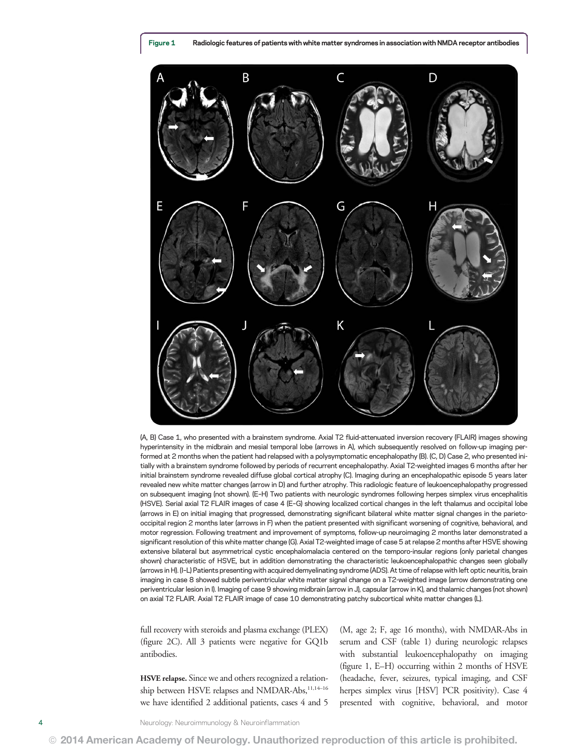



(A, B) Case 1, who presented with a brainstem syndrome. Axial T2 fluid-attenuated inversion recovery (FLAIR) images showing hyperintensity in the midbrain and mesial temporal lobe (arrows in A), which subsequently resolved on follow-up imaging performed at 2 months when the patient had relapsed with a polysymptomatic encephalopathy (B). (C, D) Case 2, who presented initially with a brainstem syndrome followed by periods of recurrent encephalopathy. Axial T2-weighted images 6 months after her initial brainstem syndrome revealed diffuse global cortical atrophy (C). Imaging during an encephalopathic episode 5 years later revealed new white matter changes (arrow in D) and further atrophy. This radiologic feature of leukoencephalopathy progressed on subsequent imaging (not shown). (E–H) Two patients with neurologic syndromes following herpes simplex virus encephalitis (HSVE). Serial axial T2 FLAIR images of case 4 (E–G) showing localized cortical changes in the left thalamus and occipital lobe (arrows in E) on initial imaging that progressed, demonstrating significant bilateral white matter signal changes in the parietooccipital region 2 months later (arrows in F) when the patient presented with significant worsening of cognitive, behavioral, and motor regression. Following treatment and improvement of symptoms, follow-up neuroimaging 2 months later demonstrated a significant resolution of this white matter change (G). Axial T2-weighted image of case 5 at relapse 2 months after HSVE showing extensive bilateral but asymmetrical cystic encephalomalacia centered on the temporo-insular regions (only parietal changes shown) characteristic of HSVE, but in addition demonstrating the characteristic leukoencephalopathic changes seen globally (arrows in H). (I–L) Patients presenting with acquired demyelinating syndrome (ADS). At time of relapse with left optic neuritis, brain imaging in case 8 showed subtle periventricular white matter signal change on a T2-weighted image (arrow demonstrating one periventricular lesion in I). Imaging of case 9 showing midbrain (arrow in J), capsular (arrow in K), and thalamic changes (not shown) on axial T2 FLAIR. Axial T2 FLAIR image of case 10 demonstrating patchy subcortical white matter changes (L).

full recovery with steroids and plasma exchange (PLEX) (figure 2C). All 3 patients were negative for GQ1b antibodies.

HSVE relapse. Since we and others recognized a relationship between HSVE relapses and NMDAR-Abs,<sup>11,14-16</sup> we have identified 2 additional patients, cases 4 and 5 (M, age 2; F, age 16 months), with NMDAR-Abs in serum and CSF (table 1) during neurologic relapses with substantial leukoencephalopathy on imaging (figure 1, E–H) occurring within 2 months of HSVE (headache, fever, seizures, typical imaging, and CSF herpes simplex virus [HSV] PCR positivity). Case 4 presented with cognitive, behavioral, and motor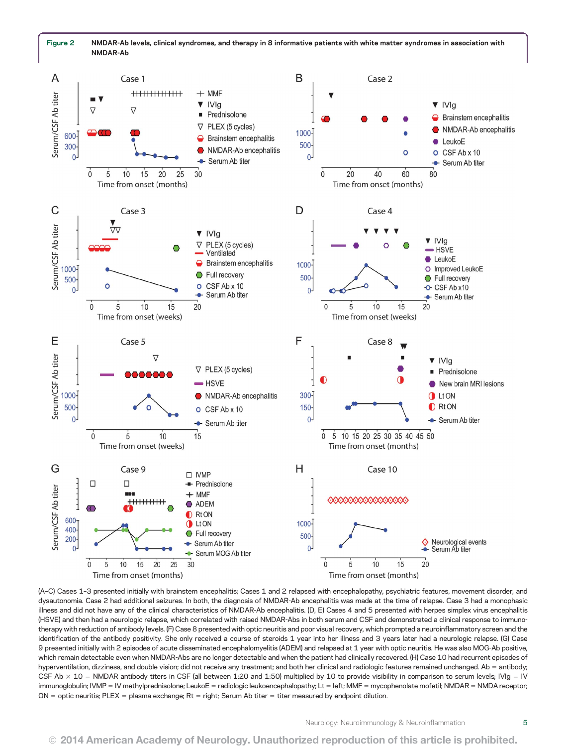

(A–C) Cases 1–3 presented initially with brainstem encephalitis; Cases 1 and 2 relapsed with encephalopathy, psychiatric features, movement disorder, and dysautonomia. Case 2 had additional seizures. In both, the diagnosis of NMDAR-Ab encephalitis was made at the time of relapse. Case 3 had a monophasic illness and did not have any of the clinical characteristics of NMDAR-Ab encephalitis. (D, E) Cases 4 and 5 presented with herpes simplex virus encephalitis (HSVE) and then had a neurologic relapse, which correlated with raised NMDAR-Abs in both serum and CSF and demonstrated a clinical response to immunotherapy with reduction of antibody levels. (F) Case 8 presented with optic neuritis and poor visual recovery, which prompted a neuroinflammatory screen and the identification of the antibody positivity. She only received a course of steroids 1 year into her illness and 3 years later had a neurologic relapse. (G) Case 9 presented initially with 2 episodes of acute disseminated encephalomyelitis (ADEM) and relapsed at 1 year with optic neuritis. He was also MOG-Ab positive, which remain detectable even when NMDAR-Abs are no longer detectable and when the patient had clinically recovered. (H) Case 10 had recurrent episodes of hyperventilation, dizziness, and double vision; did not receive any treatment; and both her clinical and radiologic features remained unchanged. Ab = antibody; CSF Ab  $\times$  10 = NMDAR antibody titers in CSF (all between 1:20 and 1:50) multiplied by 10 to provide visibility in comparison to serum levels; IVIg = IV immunoglobulin; IVMP = IV methylprednisolone; LeukoE = radiologic leukoencephalopathy; Lt = left; MMF = mycophenolate mofetil; NMDAR = NMDA receptor; ON = optic neuritis; PLEX = plasma exchange; Rt = right; Serum Ab titer = titer measured by endpoint dilution.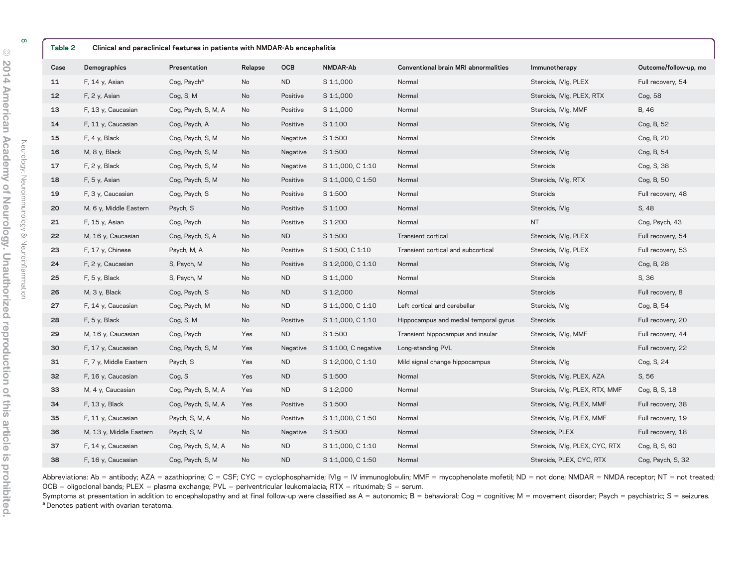| Table 2 |                         | Clinical and paraclinical features in patients with NMDAR-Ab encephalitis |         |           |                     |                                       |                                |                       |
|---------|-------------------------|---------------------------------------------------------------------------|---------|-----------|---------------------|---------------------------------------|--------------------------------|-----------------------|
| Case    | Demographics            | Presentation                                                              | Relapse | OCB       | NMDAR-Ab            | Conventional brain MRI abnormalities  | Immunotherapy                  | Outcome/follow-up, mo |
| 11      | F, 14 y, Asian          | Cog, Psych <sup>a</sup>                                                   | No      | <b>ND</b> | S 1:1,000           | Normal                                | Steroids, IVIg, PLEX           | Full recovery, 54     |
| 12      | F, 2 y, Asian           | Cog, S, M                                                                 | No      | Positive  | S 1:1,000           | Normal                                | Steroids, IVIg, PLEX, RTX      | Cog, 58               |
| 13      | F, 13 y, Caucasian      | Cog, Psych, S, M, A                                                       | No      | Positive  | S 1:1,000           | Normal                                | Steroids, IVIg, MMF            | <b>B, 46</b>          |
| 14      | F, 11 y, Caucasian      | Cog, Psych, A                                                             | No      | Positive  | S 1:100             | Normal                                | Steroids, IVIg                 | Cog, B, 52            |
| 15      | F, 4 y, Black           | Cog, Psych, S, M                                                          | No      | Negative  | S 1:500             | Normal                                | Steroids                       | Cog, B, 20            |
| 16      | M, 8 y, Black           | Cog, Psych, S, M                                                          | No      | Negative  | S 1:500             | Normal                                | Steroids, IVIg                 | Cog, B, 54            |
| 17      | F, 2 y, Black           | Cog, Psych, S, M                                                          | No      | Negative  | S 1:1,000, C 1:10   | Normal                                | Steroids                       | Cog, S, 38            |
| 18      | F, 5 y, Asian           | Cog, Psych, S, M                                                          | No      | Positive  | S 1:1,000, C 1:50   | Normal                                | Steroids, IVIg, RTX            | Cog, B, 50            |
| 19      | F, 3 y, Caucasian       | Cog, Psych, S                                                             | No      | Positive  | S 1:500             | Normal                                | Steroids                       | Full recovery, 48     |
| 20      | M, 6 y, Middle Eastern  | Psych, S                                                                  | No      | Positive  | S 1:100             | Normal                                | Steroids, IVIg                 | S, 48                 |
| 21      | F, 15 y, Asian          | Cog, Psych                                                                | No      | Positive  | S 1:200             | Normal                                | NT                             | Cog, Psych, 43        |
| 22      | M, 16 y, Caucasian      | Cog, Psych, S, A                                                          | No      | <b>ND</b> | S 1:500             | <b>Transient cortical</b>             | Steroids, IVIg, PLEX           | Full recovery, 54     |
| 23      | F, 17 y, Chinese        | Psych, M, A                                                               | No      | Positive  | S 1:500, C 1:10     | Transient cortical and subcortical    | Steroids, IVIg, PLEX           | Full recovery, 53     |
| 24      | F, 2 y, Caucasian       | S, Psych, M                                                               | No      | Positive  | S 1:2,000, C 1:10   | Normal                                | Steroids, IVIg                 | Cog, B, 28            |
| 25      | F, 5 y, Black           | S, Psych, M                                                               | No      | <b>ND</b> | S 1:1,000           | Normal                                | Steroids                       | S, 36                 |
| 26      | M, 3 y, Black           | Cog, Psych, S                                                             | No      | <b>ND</b> | S 1:2,000           | Normal                                | Steroids                       | Full recovery, 8      |
| 27      | F, 14 y, Caucasian      | Cog, Psych, M                                                             | No      | <b>ND</b> | S 1:1,000, C 1:10   | Left cortical and cerebellar          | Steroids, IVIg                 | Cog, B, 54            |
| 28      | F, 5 y, Black           | Cog, S, M                                                                 | No      | Positive  | S 1:1,000, C 1:10   | Hippocampus and medial temporal gyrus | Steroids                       | Full recovery, 20     |
| 29      | M, 16 y, Caucasian      | Cog, Psych                                                                | Yes     | <b>ND</b> | S 1:500             | Transient hippocampus and insular     | Steroids, IVIg, MMF            | Full recovery, 44     |
| 30      | F, 17 y, Caucasian      | Cog, Psych, S, M                                                          | Yes     | Negative  | S 1:100, C negative | Long-standing PVL                     | Steroids                       | Full recovery, 22     |
| 31      | F, 7 y, Middle Eastern  | Psych, S                                                                  | Yes     | <b>ND</b> | S 1:2,000, C 1:10   | Mild signal change hippocampus        | Steroids, IVIg                 | Cog, S, 24            |
| 32      | F, 16 y, Caucasian      | Cog, S                                                                    | Yes     | <b>ND</b> | S 1:500             | Normal                                | Steroids, IVIg, PLEX, AZA      | S, 56                 |
| 33      | M, 4 y, Caucasian       | Cog, Psych, S, M, A                                                       | Yes     | <b>ND</b> | S 1:2,000           | Normal                                | Steroids, IVIg, PLEX, RTX, MMF | Cog, B, S, 18         |
| 34      | F, 13 y, Black          | Cog, Psych, S, M, A                                                       | Yes     | Positive  | S 1:500             | Normal                                | Steroids, IVIg, PLEX, MMF      | Full recovery, 38     |
| 35      | F, 11 y, Caucasian      | Psych, S, M, A                                                            | No      | Positive  | S 1:1,000, C 1:50   | Normal                                | Steroids, IVIg, PLEX, MMF      | Full recovery, 19     |
| 36      | M, 13 y, Middle Eastern | Psych, S, M                                                               | No      | Negative  | S 1:500             | Normal                                | Steroids, PLEX                 | Full recovery, 18     |
| 37      | F, 14 y, Caucasian      | Cog, Psych, S, M, A                                                       | No      | ND        | S 1:1,000, C 1:10   | Normal                                | Steroids, IVIg, PLEX, CYC, RTX | Cog, B, S, 60         |
| 38      | F, 16 y, Caucasian      | Cog, Psych, S, M                                                          | No      | <b>ND</b> | S 1:1,000, C 1:50   | Normal                                | Steroids, PLEX, CYC, RTX       | Cog, Psych, S, 32     |

Abbreviations: Ab = antibody; AZA = azathioprine; C = CSF; CYC = cyclophosphamide; IVIg = IV immunoglobulin; MMF = mycophenolate mofetil; ND = not done; NMDAR = NMDA receptor; NT = not treated; OCB = oligoclonal bands; PLEX = plasma exchange; PVL = periventricular leukomalacia; RTX = rituximab; S = serum.

Symptoms at presentation in addition to encephalopathy and at final follow-up were classified as  $A =$  autonomic; B = behavioral; Cog = cognitive; M = movement disorder; Psych = psychiatric; S = seizures. a Denotes patient with ovarian teratoma.

 $\odot$ 

Neurology: Neuroimmunology & Neuroinflammation

Neurology: Neuroimmunology & Neuroinflammation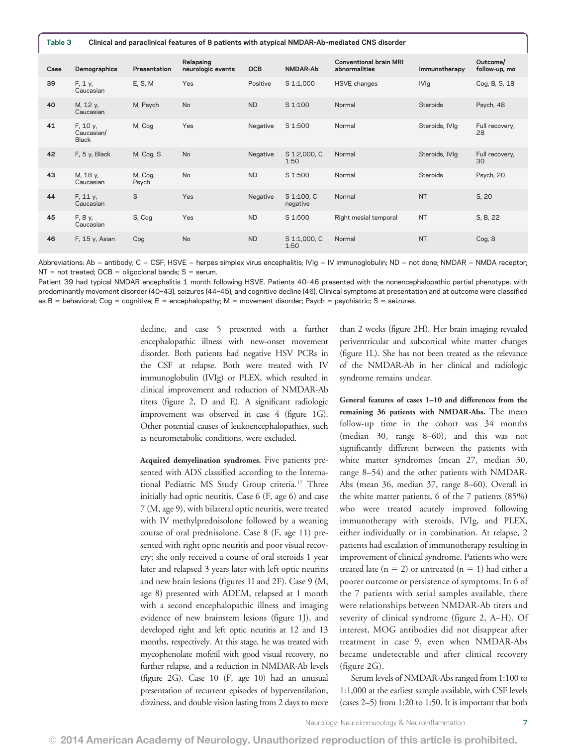Table 3 Clinical and paraclinical features of 8 patients with atypical NMDAR-Ab–mediated CNS disorder Case Demographics Presentation Relapsing neurologic events OCB NMDAR-Ab Conventional brain MRI Immunotherapy Outcome/ follow-up, mo 39 F, 1 y, Caucasian E, S, M Yes Positive S 1:1,000 HSVE changes IVIg Cog, B, S, 18 40 M, 12 y, Caucasian M, Psych No ND S 1:100 Normal Steroids Psych, 48 41 F, 10 y, Caucasian/ Black M, Cog Yes Negative S 1:500 Normal Steroids, IVIg Full recovery, 28 42 F, 5 y, Black M, Cog, S No Negative S 1:2,000, C 1:50 Normal Steroids, IVIg Full recovery, 30 43 M, 18 y, Caucasian M, Cog, Psych No ND S 1:500 Normal Steroids Psych, 20 44 F, 11 y, **Caucasian** S Yes Negative S 1:100, C negative Normal NT S, 20 45 F, 8 y, Caucasian S, Cog Yes ND S 1:500 Right mesial temporal NT S, B, 22 46 F, 15 y, Asian Cog No ND S 1:1,000, C 1:50 Normal NT Cog, 8

Abbreviations: Ab = antibody; C = CSF; HSVE = herpes simplex virus encephalitis; IVIg = IV immunoglobulin; ND = not done; NMDAR = NMDA receptor;  $NT = not treated; OCB = oligoclonal bands; S = serum.$ 

Patient 39 had typical NMDAR encephalitis 1 month following HSVE. Patients 40–46 presented with the nonencephalopathic partial phenotype, with predominantly movement disorder (40–43), seizures (44–45), and cognitive decline (46). Clinical symptoms at presentation and at outcome were classified as B = behavioral; Cog = cognitive; E = encephalopathy; M = movement disorder; Psych = psychiatric; S = seizures.

> decline, and case 5 presented with a further encephalopathic illness with new-onset movement disorder. Both patients had negative HSV PCRs in the CSF at relapse. Both were treated with IV immunoglobulin (IVIg) or PLEX, which resulted in clinical improvement and reduction of NMDAR-Ab titers (figure 2, D and E). A significant radiologic improvement was observed in case 4 (figure 1G). Other potential causes of leukoencephalopathies, such as neurometabolic conditions, were excluded.

> Acquired demyelination syndromes. Five patients presented with ADS classified according to the International Pediatric MS Study Group criteria.<sup>17</sup> Three initially had optic neuritis. Case 6 (F, age 6) and case 7 (M, age 9), with bilateral optic neuritis, were treated with IV methylprednisolone followed by a weaning course of oral prednisolone. Case 8 (F, age 11) presented with right optic neuritis and poor visual recovery; she only received a course of oral steroids 1 year later and relapsed 3 years later with left optic neuritis and new brain lesions (figures 1I and 2F). Case 9 (M, age 8) presented with ADEM, relapsed at 1 month with a second encephalopathic illness and imaging evidence of new brainstem lesions (figure 1J), and developed right and left optic neuritis at 12 and 13 months, respectively. At this stage, he was treated with mycophenolate mofetil with good visual recovery, no further relapse, and a reduction in NMDAR-Ab levels (figure 2G). Case 10 (F, age 10) had an unusual presentation of recurrent episodes of hyperventilation, dizziness, and double vision lasting from 2 days to more

than 2 weeks (figure 2H). Her brain imaging revealed periventricular and subcortical white matter changes (figure 1L). She has not been treated as the relevance of the NMDAR-Ab in her clinical and radiologic syndrome remains unclear.

General features of cases 1–10 and differences from the remaining 36 patients with NMDAR-Abs. The mean follow-up time in the cohort was 34 months (median 30, range 8–60), and this was not significantly different between the patients with white matter syndromes (mean 27, median 30, range 8–54) and the other patients with NMDAR-Abs (mean 36, median 37, range 8–60). Overall in the white matter patients, 6 of the 7 patients (85%) who were treated acutely improved following immunotherapy with steroids, IVIg, and PLEX, either individually or in combination. At relapse, 2 patients had escalation of immunotherapy resulting in improvement of clinical syndrome. Patients who were treated late ( $n = 2$ ) or untreated ( $n = 1$ ) had either a poorer outcome or persistence of symptoms. In 6 of the 7 patients with serial samples available, there were relationships between NMDAR-Ab titers and severity of clinical syndrome (figure 2, A–H). Of interest, MOG antibodies did not disappear after treatment in case 9, even when NMDAR-Abs became undetectable and after clinical recovery (figure 2G).

Serum levels of NMDAR-Abs ranged from 1:100 to 1:1,000 at the earliest sample available, with CSF levels (cases 2–5) from 1:20 to 1:50. It is important that both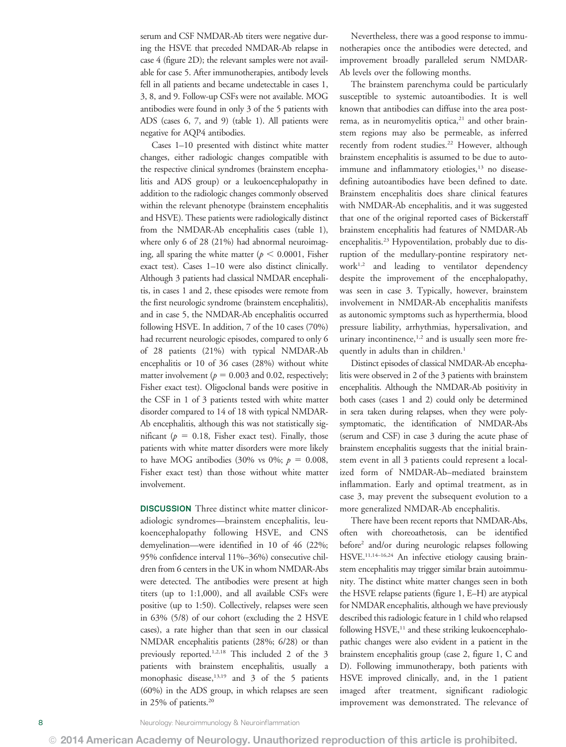serum and CSF NMDAR-Ab titers were negative during the HSVE that preceded NMDAR-Ab relapse in case 4 (figure 2D); the relevant samples were not available for case 5. After immunotherapies, antibody levels fell in all patients and became undetectable in cases 1, 3, 8, and 9. Follow-up CSFs were not available. MOG antibodies were found in only 3 of the 5 patients with ADS (cases 6, 7, and 9) (table 1). All patients were negative for AQP4 antibodies.

Cases 1–10 presented with distinct white matter changes, either radiologic changes compatible with the respective clinical syndromes (brainstem encephalitis and ADS group) or a leukoencephalopathy in addition to the radiologic changes commonly observed within the relevant phenotype (brainstem encephalitis and HSVE). These patients were radiologically distinct from the NMDAR-Ab encephalitis cases (table 1), where only 6 of 28 (21%) had abnormal neuroimaging, all sparing the white matter ( $p < 0.0001$ , Fisher exact test). Cases 1–10 were also distinct clinically. Although 3 patients had classical NMDAR encephalitis, in cases 1 and 2, these episodes were remote from the first neurologic syndrome (brainstem encephalitis), and in case 5, the NMDAR-Ab encephalitis occurred following HSVE. In addition, 7 of the 10 cases (70%) had recurrent neurologic episodes, compared to only 6 of 28 patients (21%) with typical NMDAR-Ab encephalitis or 10 of 36 cases (28%) without white matter involvement ( $p = 0.003$  and 0.02, respectively; Fisher exact test). Oligoclonal bands were positive in the CSF in 1 of 3 patients tested with white matter disorder compared to 14 of 18 with typical NMDAR-Ab encephalitis, although this was not statistically significant ( $p = 0.18$ , Fisher exact test). Finally, those patients with white matter disorders were more likely to have MOG antibodies (30% vs 0%;  $p = 0.008$ , Fisher exact test) than those without white matter involvement.

DISCUSSION Three distinct white matter clinicoradiologic syndromes—brainstem encephalitis, leukoencephalopathy following HSVE, and CNS demyelination—were identified in 10 of 46 (22%; 95% confidence interval 11%–36%) consecutive children from 6 centers in the UK in whom NMDAR-Abs were detected. The antibodies were present at high titers (up to 1:1,000), and all available CSFs were positive (up to 1:50). Collectively, relapses were seen in 63% (5/8) of our cohort (excluding the 2 HSVE cases), a rate higher than that seen in our classical NMDAR encephalitis patients (28%; 6/28) or than previously reported.<sup>1,2,18</sup> This included 2 of the 3 patients with brainstem encephalitis, usually a monophasic disease, $13,19$  and 3 of the 5 patients (60%) in the ADS group, in which relapses are seen in 25% of patients.<sup>20</sup>

Nevertheless, there was a good response to immunotherapies once the antibodies were detected, and improvement broadly paralleled serum NMDAR-Ab levels over the following months.

The brainstem parenchyma could be particularly susceptible to systemic autoantibodies. It is well known that antibodies can diffuse into the area postrema, as in neuromyelitis optica,<sup>21</sup> and other brainstem regions may also be permeable, as inferred recently from rodent studies.<sup>22</sup> However, although brainstem encephalitis is assumed to be due to autoimmune and inflammatory etiologies,<sup>13</sup> no diseasedefining autoantibodies have been defined to date. Brainstem encephalitis does share clinical features with NMDAR-Ab encephalitis, and it was suggested that one of the original reported cases of Bickerstaff brainstem encephalitis had features of NMDAR-Ab encephalitis.<sup>23</sup> Hypoventilation, probably due to disruption of the medullary-pontine respiratory net $work<sup>1,2</sup>$  and leading to ventilator dependency despite the improvement of the encephalopathy, was seen in case 3. Typically, however, brainstem involvement in NMDAR-Ab encephalitis manifests as autonomic symptoms such as hyperthermia, blood pressure liability, arrhythmias, hypersalivation, and urinary incontinence,<sup>1,2</sup> and is usually seen more frequently in adults than in children.<sup>1</sup>

Distinct episodes of classical NMDAR-Ab encephalitis were observed in 2 of the 3 patients with brainstem encephalitis. Although the NMDAR-Ab positivity in both cases (cases 1 and 2) could only be determined in sera taken during relapses, when they were polysymptomatic, the identification of NMDAR-Abs (serum and CSF) in case 3 during the acute phase of brainstem encephalitis suggests that the initial brainstem event in all 3 patients could represent a localized form of NMDAR-Ab–mediated brainstem inflammation. Early and optimal treatment, as in case 3, may prevent the subsequent evolution to a more generalized NMDAR-Ab encephalitis.

There have been recent reports that NMDAR-Abs, often with choreoathetosis, can be identified before2 and/or during neurologic relapses following HSVE.<sup>11,14-16,24</sup> An infective etiology causing brainstem encephalitis may trigger similar brain autoimmunity. The distinct white matter changes seen in both the HSVE relapse patients (figure 1, E–H) are atypical for NMDAR encephalitis, although we have previously described this radiologic feature in 1 child who relapsed following HSVE,<sup>11</sup> and these striking leukoencephalopathic changes were also evident in a patient in the brainstem encephalitis group (case 2, figure 1, C and D). Following immunotherapy, both patients with HSVE improved clinically, and, in the 1 patient imaged after treatment, significant radiologic improvement was demonstrated. The relevance of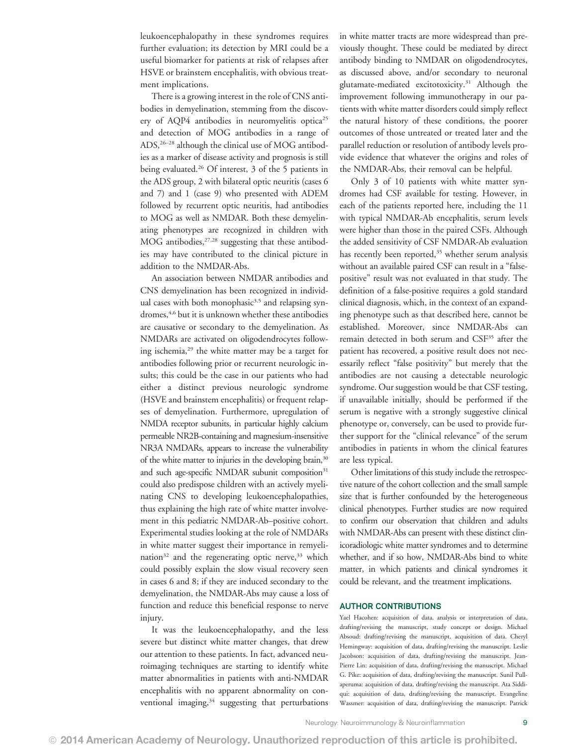leukoencephalopathy in these syndromes requires further evaluation; its detection by MRI could be a useful biomarker for patients at risk of relapses after HSVE or brainstem encephalitis, with obvious treatment implications.

There is a growing interest in the role of CNS antibodies in demyelination, stemming from the discovery of AQP4 antibodies in neuromyelitis optica<sup>25</sup> and detection of MOG antibodies in a range of ADS,26–<sup>28</sup> although the clinical use of MOG antibodies as a marker of disease activity and prognosis is still being evaluated.<sup>26</sup> Of interest, 3 of the 5 patients in the ADS group, 2 with bilateral optic neuritis (cases 6 and 7) and 1 (case 9) who presented with ADEM followed by recurrent optic neuritis, had antibodies to MOG as well as NMDAR. Both these demyelinating phenotypes are recognized in children with MOG antibodies,<sup>27,28</sup> suggesting that these antibodies may have contributed to the clinical picture in addition to the NMDAR-Abs.

An association between NMDAR antibodies and CNS demyelination has been recognized in individual cases with both monophasic<sup>3,5</sup> and relapsing syndromes,<sup>4,6</sup> but it is unknown whether these antibodies are causative or secondary to the demyelination. As NMDARs are activated on oligodendrocytes following ischemia,<sup>29</sup> the white matter may be a target for antibodies following prior or recurrent neurologic insults; this could be the case in our patients who had either a distinct previous neurologic syndrome (HSVE and brainstem encephalitis) or frequent relapses of demyelination. Furthermore, upregulation of NMDA receptor subunits, in particular highly calcium permeable NR2B-containing and magnesium-insensitive NR3A NMDARs, appears to increase the vulnerability of the white matter to injuries in the developing brain,<sup>30</sup> and such age-specific NMDAR subunit composition<sup>31</sup> could also predispose children with an actively myelinating CNS to developing leukoencephalopathies, thus explaining the high rate of white matter involvement in this pediatric NMDAR-Ab–positive cohort. Experimental studies looking at the role of NMDARs in white matter suggest their importance in remyelination $32$  and the regenerating optic nerve,  $33$  which could possibly explain the slow visual recovery seen in cases 6 and 8; if they are induced secondary to the demyelination, the NMDAR-Abs may cause a loss of function and reduce this beneficial response to nerve injury.

It was the leukoencephalopathy, and the less severe but distinct white matter changes, that drew our attention to these patients. In fact, advanced neuroimaging techniques are starting to identify white matter abnormalities in patients with anti-NMDAR encephalitis with no apparent abnormality on conventional imaging,<sup>34</sup> suggesting that perturbations

in white matter tracts are more widespread than previously thought. These could be mediated by direct antibody binding to NMDAR on oligodendrocytes, as discussed above, and/or secondary to neuronal glutamate-mediated excitotoxicity.31 Although the improvement following immunotherapy in our patients with white matter disorders could simply reflect the natural history of these conditions, the poorer outcomes of those untreated or treated later and the parallel reduction or resolution of antibody levels provide evidence that whatever the origins and roles of the NMDAR-Abs, their removal can be helpful.

Only 3 of 10 patients with white matter syndromes had CSF available for testing. However, in each of the patients reported here, including the 11 with typical NMDAR-Ab encephalitis, serum levels were higher than those in the paired CSFs. Although the added sensitivity of CSF NMDAR-Ab evaluation has recently been reported,<sup>35</sup> whether serum analysis without an available paired CSF can result in a "falsepositive" result was not evaluated in that study. The definition of a false-positive requires a gold standard clinical diagnosis, which, in the context of an expanding phenotype such as that described here, cannot be established. Moreover, since NMDAR-Abs can remain detected in both serum and CSF35 after the patient has recovered, a positive result does not necessarily reflect "false positivity" but merely that the antibodies are not causing a detectable neurologic syndrome. Our suggestion would be that CSF testing, if unavailable initially, should be performed if the serum is negative with a strongly suggestive clinical phenotype or, conversely, can be used to provide further support for the "clinical relevance" of the serum antibodies in patients in whom the clinical features are less typical.

Other limitations of this study include the retrospective nature of the cohort collection and the small sample size that is further confounded by the heterogeneous clinical phenotypes. Further studies are now required to confirm our observation that children and adults with NMDAR-Abs can present with these distinct clinicoradiologic white matter syndromes and to determine whether, and if so how, NMDAR-Abs bind to white matter, in which patients and clinical syndromes it could be relevant, and the treatment implications.

### AUTHOR CONTRIBUTIONS

Yael Hacohen: acquisition of data, analysis or interpretation of data, drafting/revising the manuscript, study concept or design. Michael Absoud: drafting/revising the manuscript, acquisition of data. Cheryl Hemingway: acquisition of data, drafting/revising the manuscript. Leslie Jacobson: acquisition of data, drafting/revising the manuscript. Jean-Pierre Lin: acquisition of data, drafting/revising the manuscript. Michael G. Pike: acquisition of data, drafting/revising the manuscript. Sunil Pullaperuma: acquisition of data, drafting/revising the manuscript. Ata Siddiqui: acquisition of data, drafting/revising the manuscript. Evangeline Wassmer: acquisition of data, drafting/revising the manuscript. Patrick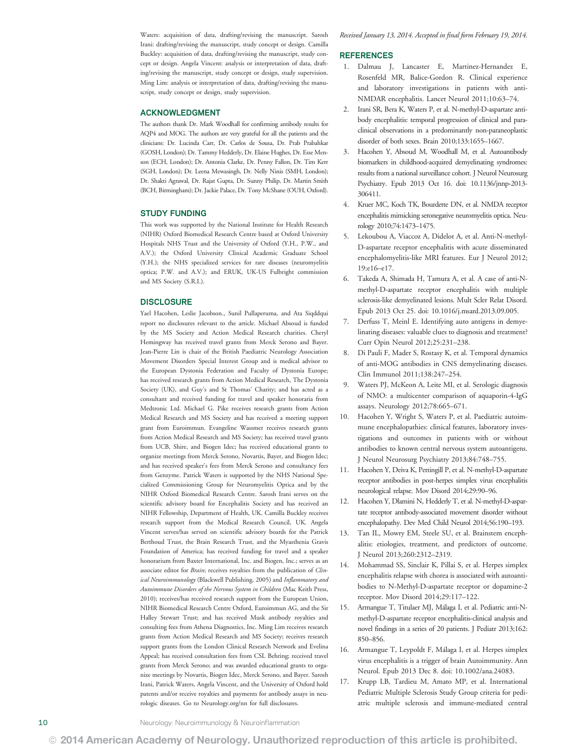Waters: acquisition of data, drafting/revising the manuscript. Sarosh Irani: drafting/revising the manuscript, study concept or design. Camilla Buckley: acquisition of data, drafting/revising the manuscript, study concept or design. Angela Vincent: analysis or interpretation of data, drafting/revising the manuscript, study concept or design, study supervision. Ming Lim: analysis or interpretation of data, drafting/revising the manuscript, study concept or design, study supervision.

### ACKNOWLEDGMENT

The authors thank Dr. Mark Woodhall for confirming antibody results for AQP4 and MOG. The authors are very grateful for all the patients and the clinicians: Dr. Lucinda Carr, Dr. Carlos de Sousa, Dr. Prab Prabahkar (GOSH, London); Dr. Tammy Hedderly, Dr. Elaine Hughes, Dr. Esse Menson (ECH, London); Dr. Antonia Clarke, Dr. Penny Fallon, Dr. Tim Kerr (SGH, London); Dr. Leena Mewasingh, Dr. Nelly Ninis (SMH, London); Dr. Shakti Agrawal, Dr. Rajat Gupta, Dr. Sunny Philip, Dr. Martin Smith (BCH, Birmingham); Dr. Jackie Palace, Dr. Tony McShane (OUH, Oxford).

### STUDY FUNDING

This work was supported by the National Institute for Health Research (NIHR) Oxford Biomedical Research Centre based at Oxford University Hospitals NHS Trust and the University of Oxford (Y.H., P.W., and A.V.); the Oxford University Clinical Academic Graduate School (Y.H.); the NHS specialized services for rare diseases (neuromyelitis optica; P.W. and A.V.); and ERUK, UK-US Fulbright commission and MS Society (S.R.I.).

### **DISCLOSURE**

Yael Hacohen, Leslie Jacobson., Sunil Pullaperuma, and Ata Siqddqui report no disclosures relevant to the article. Michael Absoud is funded by the MS Society and Action Medical Research charities. Cheryl Hemingway has received travel grants from Merck Serono and Bayer. Jean-Pierre Lin is chair of the British Paediatric Neurology Association Movement Disorders Special Interest Group and is medical advisor to the European Dystonia Federation and Faculty of Dystonia Europe; has received research grants from Action Medical Research, The Dystonia Society (UK), and Guy's and St Thomas' Charity; and has acted as a consultant and received funding for travel and speaker honoraria from Medtronic Ltd. Michael G. Pike receives research grants from Action Medical Research and MS Society and has received a meeting support grant from Euroimmun. Evangeline Wassmer receives research grants from Action Medical Research and MS Society; has received travel grants from UCB, Shire, and Biogen Idec; has received educational grants to organize meetings from Merck Serono, Novartis, Bayer, and Biogen Idec; and has received speaker's fees from Merck Serono and consultancy fees from Genzyme. Patrick Waters is supported by the NHS National Specialized Commissioning Group for Neuromyelitis Optica and by the NIHR Oxford Biomedical Research Centre. Sarosh Irani serves on the scientific advisory board for Encephalitis Society and has received an NIHR Fellowship, Department of Health, UK. Camilla Buckley receives research support from the Medical Research Council, UK. Angela Vincent serves/has served on scientific advisory boards for the Patrick Berthoud Trust, the Brain Research Trust, and the Myasthenia Gravis Foundation of America; has received funding for travel and a speaker honorarium from Baxter International, Inc. and Biogen, Inc.; serves as an associate editor for Brain; receives royalties from the publication of Clinical Neuroimmunology (Blackwell Publishing, 2005) and Inflammatory and Autoimmune Disorders of the Nervous System in Children (Mac Keith Press, 2010); receives/has received research support from the European Union, NIHR Biomedical Research Centre Oxford, Euroimmun AG, and the Sir Halley Stewart Trust; and has received Musk antibody royalties and consulting fees from Athena Diagnostics, Inc. Ming Lim receives research grants from Action Medical Research and MS Society; receives research support grants from the London Clinical Research Network and Evelina Appeal; has received consultation fees from CSL Behring; received travel grants from Merck Serono; and was awarded educational grants to organize meetings by Novartis, Biogen Idec, Merck Serono, and Bayer. Sarosh Irani, Patrick Waters, Angela Vincent, and the University of Oxford hold patents and/or receive royalties and payments for antibody assays in neurologic diseases. Go to [Neurology.org/nn](http://nn.neurology.org/lookup/doi/10.1212/NXI.0000000000000002) for full disclosures.

### REFERENCES

- 1. Dalmau J, Lancaster E, Martinez-Hernandez E, Rosenfeld MR, Balice-Gordon R. Clinical experience and laboratory investigations in patients with anti-NMDAR encephalitis. Lancet Neurol 2011;10:63–74.
- 2. Irani SR, Bera K, Waters P, et al. N-methyl-D-aspartate antibody encephalitis: temporal progression of clinical and paraclinical observations in a predominantly non-paraneoplastic disorder of both sexes. Brain 2010;133:1655–1667.
- 3. Hacohen Y, Absoud M, Woodhall M, et al. Autoantibody biomarkers in childhood-acquired demyelinating syndromes: results from a national surveillance cohort. J Neurol Neurosurg Psychiatry. Epub 2013 Oct 16. doi: [10.1136/jnnp-2013-](http://dx.doi.org/10.1136/jnnp-2013-306411) [306411.](http://dx.doi.org/10.1136/jnnp-2013-306411)
- 4. Kruer MC, Koch TK, Bourdette DN, et al. NMDA receptor encephalitis mimicking seronegative neuromyelitis optica. Neurology 2010;74:1473–1475.
- 5. Lekoubou A, Viaccoz A, Didelot A, et al. Anti-N-methyl-D-aspartate receptor encephalitis with acute disseminated encephalomyelitis-like MRI features. Eur J Neurol 2012; 19:e16–e17.
- 6. Takeda A, Shimada H, Tamura A, et al. A case of anti-Nmethyl-D-aspartate receptor encephalitis with multiple sclerosis-like demyelinated lesions. Mult Scler Relat Disord. Epub 2013 Oct 25. doi: [10.1016/j.msard.2013.09.005.](http://dx.doi.org/10.1016/j.msard.2013.09.005)
- 7. Derfuss T, Meinl E. Identifying auto antigens in demyelinating diseases: valuable clues to diagnosis and treatment? Curr Opin Neurol 2012;25:231–238.
- 8. Di Pauli F, Mader S, Rostasy K, et al. Temporal dynamics of anti-MOG antibodies in CNS demyelinating diseases. Clin Immunol 2011;138:247–254.
- 9. Waters PJ, McKeon A, Leite MI, et al. Serologic diagnosis of NMO: a multicenter comparison of aquaporin-4-IgG assays. Neurology 2012;78:665–671.
- 10. Hacohen Y, Wright S, Waters P, et al. Paediatric autoimmune encephalopathies: clinical features, laboratory investigations and outcomes in patients with or without antibodies to known central nervous system autoantigens. J Neurol Neurosurg Psychiatry 2013;84:748–755.
- 11. Hacohen Y, Deiva K, Pettingill P, et al. N-methyl-D-aspartate receptor antibodies in post-herpes simplex virus encephalitis neurological relapse. Mov Disord 2014;29:90–96.
- 12. Hacohen Y, Dlamini N, Hedderly T, et al. N-methyl-D-aspartate receptor antibody-associated movement disorder without encephalopathy. Dev Med Child Neurol 2014;56:190–193.
- 13. Tan IL, Mowry EM, Steele SU, et al. Brainstem encephalitis: etiologies, treatment, and predictors of outcome. J Neurol 2013;260:2312–2319.
- 14. Mohammad SS, Sinclair K, Pillai S, et al. Herpes simplex encephalitis relapse with chorea is associated with autoantibodies to N-Methyl-D-aspartate receptor or dopamine-2 receptor. Mov Disord 2014;29:117–122.
- 15. Armangue T, Titulaer MJ, Málaga I, et al. Pediatric anti-Nmethyl-D-aspartate receptor encephalitis-clinical analysis and novel findings in a series of 20 patients. J Pediatr 2013;162: 850–856.
- 16. Armangue T, Leypoldt F, Málaga I, et al. Herpes simplex virus encephalitis is a trigger of brain Autoimmunity. Ann Neurol. Epub 2013 Dec 8. doi: [10.1002/ana.24083](http://dx.doi.org/10.1002/ana.24083).
- 17. Krupp LB, Tardieu M, Amato MP, et al. International Pediatric Multiple Sclerosis Study Group criteria for pediatric multiple sclerosis and immune-mediated central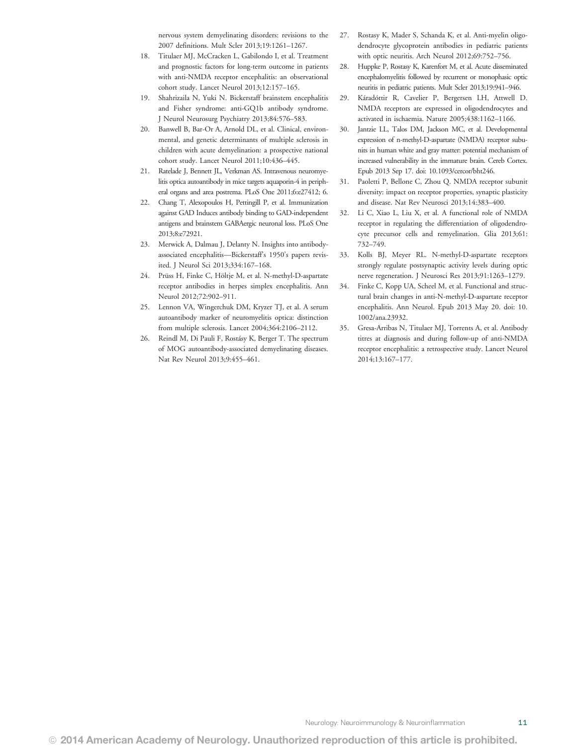nervous system demyelinating disorders: revisions to the 2007 definitions. Mult Scler 2013;19:1261–1267.

- 18. Titulaer MJ, McCracken L, Gabilondo I, et al. Treatment and prognostic factors for long-term outcome in patients with anti-NMDA receptor encephalitis: an observational cohort study. Lancet Neurol 2013;12:157–165.
- 19. Shahrizaila N, Yuki N. Bickerstaff brainstem encephalitis and Fisher syndrome: anti-GQ1b antibody syndrome. J Neurol Neurosurg Psychiatry 2013;84:576–583.
- 20. Banwell B, Bar-Or A, Arnold DL, et al. Clinical, environmental, and genetic determinants of multiple sclerosis in children with acute demyelination: a prospective national cohort study. Lancet Neurol 2011;10:436–445.
- 21. Ratelade J, Bennett JL, Verkman AS. Intravenous neuromyelitis optica autoantibody in mice targets aquaporin-4 in peripheral organs and area postrema. PLoS One 2011;6:e27412; 6.
- 22. Chang T, Alexopoulos H, Pettingill P, et al. Immunization against GAD Induces antibody binding to GAD-independent antigens and brainstem GABAergic neuronal loss. PLoS One 2013;8:e72921.
- 23. Merwick A, Dalmau J, Delanty N. Insights into antibodyassociated encephalitis—Bickerstaff's 1950's papers revisited. J Neurol Sci 2013;334:167–168.
- 24. Prüss H, Finke C, Höltje M, et al. N-methyl-D-aspartate receptor antibodies in herpes simplex encephalitis. Ann Neurol 2012;72:902–911.
- 25. Lennon VA, Wingerchuk DM, Kryzer TJ, et al. A serum autoantibody marker of neuromyelitis optica: distinction from multiple sclerosis. Lancet 2004;364:2106–2112.
- 26. Reindl M, Di Pauli F, Rostásy K, Berger T. The spectrum of MOG autoantibody-associated demyelinating diseases. Nat Rev Neurol 2013;9:455–461.
- 27. Rostasy K, Mader S, Schanda K, et al. Anti-myelin oligodendrocyte glycoprotein antibodies in pediatric patients with optic neuritis. Arch Neurol 2012;69:752–756.
- 28. Huppke P, Rostasy K, Karenfort M, et al. Acute disseminated encephalomyelitis followed by recurrent or monophasic optic neuritis in pediatric patients. Mult Scler 2013;19:941–946.
- 29. Káradóttir R, Cavelier P, Bergersen LH, Attwell D. NMDA receptors are expressed in oligodendrocytes and activated in ischaemia. Nature 2005;438:1162–1166.
- 30. Jantzie LL, Talos DM, Jackson MC, et al. Developmental expression of n-methyl-D-aspartate (NMDA) receptor subunits in human white and gray matter: potential mechanism of increased vulnerability in the immature brain. Cereb Cortex. Epub 2013 Sep 17. doi: [10.1093/cercor/bht246.](http://dx.doi.org/10.1093/cercor/bht246)
- 31. Paoletti P, Bellone C, Zhou Q. NMDA receptor subunit diversity: impact on receptor properties, synaptic plasticity and disease. Nat Rev Neurosci 2013;14:383–400.
- 32. Li C, Xiao L, Liu X, et al. A functional role of NMDA receptor in regulating the differentiation of oligodendrocyte precursor cells and remyelination. Glia 2013;61: 732–749.
- 33. Kolls BJ, Meyer RL. N-methyl-D-aspartate receptors strongly regulate postsynaptic activity levels during optic nerve regeneration. J Neurosci Res 2013;91:1263–1279.
- 34. Finke C, Kopp UA, Scheel M, et al. Functional and structural brain changes in anti-N-methyl-D-aspartate receptor encephalitis. Ann Neurol. Epub 2013 May 20. doi: [10.](http://dx.doi.org/10.1002/ana.23932) [1002/ana.23932](http://dx.doi.org/10.1002/ana.23932).
- 35. Gresa-Arribas N, Titulaer MJ, Torrents A, et al. Antibody titres at diagnosis and during follow-up of anti-NMDA receptor encephalitis: a retrospective study. Lancet Neurol 2014;13:167–177.